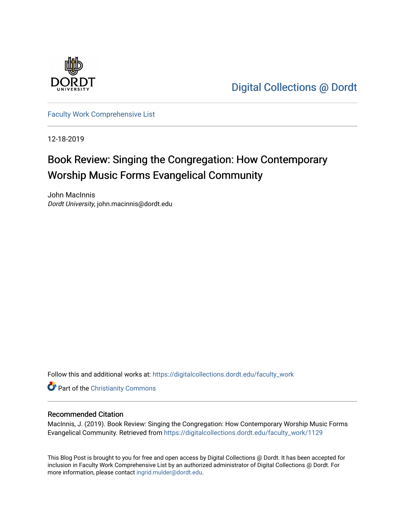

[Digital Collections @ Dordt](https://digitalcollections.dordt.edu/) 

[Faculty Work Comprehensive List](https://digitalcollections.dordt.edu/faculty_work)

12-18-2019

# Book Review: Singing the Congregation: How Contemporary Worship Music Forms Evangelical Community

John MacInnis Dordt University, john.macinnis@dordt.edu

Follow this and additional works at: [https://digitalcollections.dordt.edu/faculty\\_work](https://digitalcollections.dordt.edu/faculty_work?utm_source=digitalcollections.dordt.edu%2Ffaculty_work%2F1129&utm_medium=PDF&utm_campaign=PDFCoverPages) 

**Part of the Christianity Commons** 

#### Recommended Citation

MacInnis, J. (2019). Book Review: Singing the Congregation: How Contemporary Worship Music Forms Evangelical Community. Retrieved from [https://digitalcollections.dordt.edu/faculty\\_work/1129](https://digitalcollections.dordt.edu/faculty_work/1129?utm_source=digitalcollections.dordt.edu%2Ffaculty_work%2F1129&utm_medium=PDF&utm_campaign=PDFCoverPages)

This Blog Post is brought to you for free and open access by Digital Collections @ Dordt. It has been accepted for inclusion in Faculty Work Comprehensive List by an authorized administrator of Digital Collections @ Dordt. For more information, please contact [ingrid.mulder@dordt.edu.](mailto:ingrid.mulder@dordt.edu)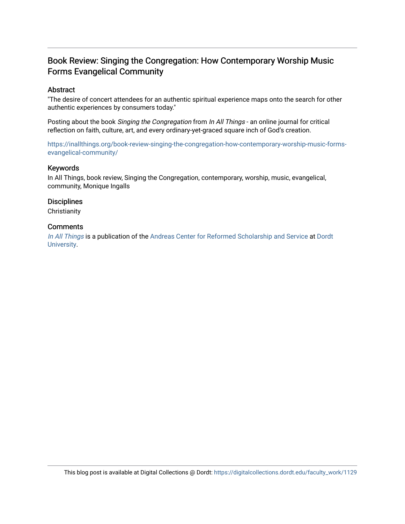## Book Review: Singing the Congregation: How Contemporary Worship Music Forms Evangelical Community

#### Abstract

"The desire of concert attendees for an authentic spiritual experience maps onto the search for other authentic experiences by consumers today."

Posting about the book Singing the Congregation from In All Things - an online journal for critical reflection on faith, culture, art, and every ordinary-yet-graced square inch of God's creation.

[https://inallthings.org/book-review-singing-the-congregation-how-contemporary-worship-music-forms](https://inallthings.org/book-review-singing-the-congregation-how-contemporary-worship-music-forms-evangelical-community/)[evangelical-community/](https://inallthings.org/book-review-singing-the-congregation-how-contemporary-worship-music-forms-evangelical-community/) 

#### Keywords

In All Things, book review, Singing the Congregation, contemporary, worship, music, evangelical, community, Monique Ingalls

#### **Disciplines**

**Christianity** 

#### **Comments**

[In All Things](http://inallthings.org/) is a publication of the [Andreas Center for Reformed Scholarship and Service](http://www.dordt.edu/services_support/andreas_center/) at Dordt [University](http://www.dordt.edu/).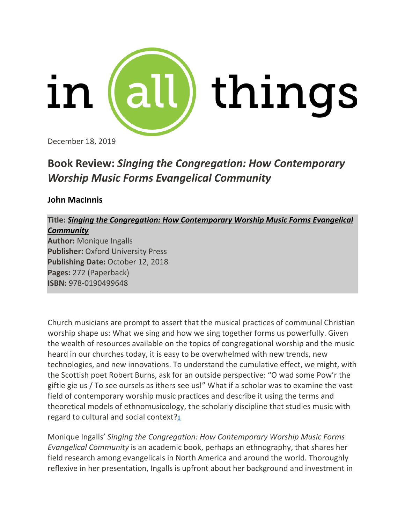

December 18, 2019

## **Book Review:** *Singing the Congregation: How Contemporary Worship Music Forms Evangelical Community*

### **John MacInnis**

## **Title:** *Singing the Congregation: How Contemporary Worship Music Forms Evangelical Community*

**Author:** Monique Ingalls **Publisher:** Oxford University Press **Publishing Date:** October 12, 2018 **Pages:** 272 (Paperback) **ISBN:** 978-0190499648

Church musicians are prompt to assert that the musical practices of communal Christian worship shape us: What we sing and how we sing together forms us powerfully. Given the wealth of resources available on the topics of congregational worship and the music heard in our churches today, it is easy to be overwhelmed with new trends, new technologies, and new innovations. To understand the cumulative effect, we might, with the Scottish poet Robert Burns, ask for an outside perspective: "O wad some Pow'r the giftie gie us / To see oursels as ithers see us!" What if a scholar was to examine the vast field of contemporary worship music practices and describe it using the terms and theoretical models of ethnomusicology, the scholarly discipline that studies music with regard to cultural and social context?**[1](https://inallthings.org/book-review-singing-the-congregation-how-contemporary-worship-music-forms-evangelical-community/#fn1-17646)**

Monique Ingalls' *Singing the Congregation: How Contemporary Worship Music Forms Evangelical Community* is an academic book, perhaps an ethnography, that shares her field research among evangelicals in North America and around the world. Thoroughly reflexive in her presentation, Ingalls is upfront about her background and investment in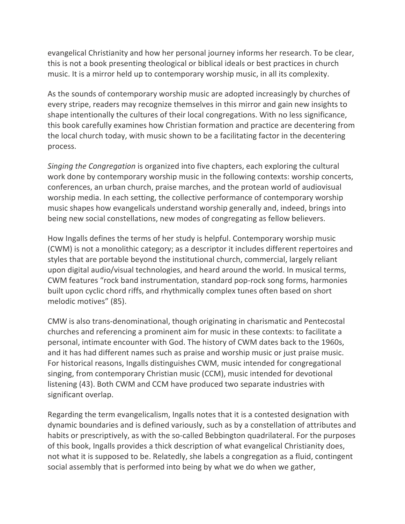evangelical Christianity and how her personal journey informs her research. To be clear, this is not a book presenting theological or biblical ideals or best practices in church music. It is a mirror held up to contemporary worship music, in all its complexity.

As the sounds of contemporary worship music are adopted increasingly by churches of every stripe, readers may recognize themselves in this mirror and gain new insights to shape intentionally the cultures of their local congregations. With no less significance, this book carefully examines how Christian formation and practice are decentering from the local church today, with music shown to be a facilitating factor in the decentering process.

*Singing the Congregation* is organized into five chapters, each exploring the cultural work done by contemporary worship music in the following contexts: worship concerts, conferences, an urban church, praise marches, and the protean world of audiovisual worship media. In each setting, the collective performance of contemporary worship music shapes how evangelicals understand worship generally and, indeed, brings into being new social constellations, new modes of congregating as fellow believers.

How Ingalls defines the terms of her study is helpful. Contemporary worship music (CWM) is not a monolithic category; as a descriptor it includes different repertoires and styles that are portable beyond the institutional church, commercial, largely reliant upon digital audio/visual technologies, and heard around the world. In musical terms, CWM features "rock band instrumentation, standard pop-rock song forms, harmonies built upon cyclic chord riffs, and rhythmically complex tunes often based on short melodic motives" (85).

CMW is also trans-denominational, though originating in charismatic and Pentecostal churches and referencing a prominent aim for music in these contexts: to facilitate a personal, intimate encounter with God. The history of CWM dates back to the 1960s, and it has had different names such as praise and worship music or just praise music. For historical reasons, Ingalls distinguishes CWM, music intended for congregational singing, from contemporary Christian music (CCM), music intended for devotional listening (43). Both CWM and CCM have produced two separate industries with significant overlap.

Regarding the term evangelicalism, Ingalls notes that it is a contested designation with dynamic boundaries and is defined variously, such as by a constellation of attributes and habits or prescriptively, as with the so-called Bebbington quadrilateral. For the purposes of this book, Ingalls provides a thick description of what evangelical Christianity does, not what it is supposed to be. Relatedly, she labels a congregation as a fluid, contingent social assembly that is performed into being by what we do when we gather,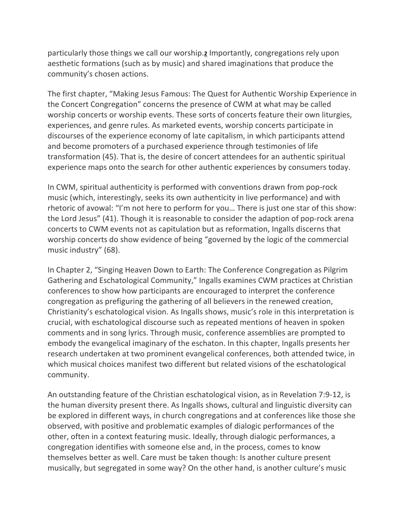particularly those things we call our worship.**[2](https://inallthings.org/book-review-singing-the-congregation-how-contemporary-worship-music-forms-evangelical-community/#fn2-17646)** Importantly, congregations rely upon aesthetic formations (such as by music) and shared imaginations that produce the community's chosen actions.

The first chapter, "Making Jesus Famous: The Quest for Authentic Worship Experience in the Concert Congregation" concerns the presence of CWM at what may be called worship concerts or worship events. These sorts of concerts feature their own liturgies, experiences, and genre rules. As marketed events, worship concerts participate in discourses of the experience economy of late capitalism, in which participants attend and become promoters of a purchased experience through testimonies of life transformation (45). That is, the desire of concert attendees for an authentic spiritual experience maps onto the search for other authentic experiences by consumers today.

In CWM, spiritual authenticity is performed with conventions drawn from pop-rock music (which, interestingly, seeks its own authenticity in live performance) and with rhetoric of avowal: "I'm not here to perform for you… There is just one star of this show: the Lord Jesus" (41). Though it is reasonable to consider the adaption of pop-rock arena concerts to CWM events not as capitulation but as reformation, Ingalls discerns that worship concerts do show evidence of being "governed by the logic of the commercial music industry" (68).

In Chapter 2, "Singing Heaven Down to Earth: The Conference Congregation as Pilgrim Gathering and Eschatological Community," Ingalls examines CWM practices at Christian conferences to show how participants are encouraged to interpret the conference congregation as prefiguring the gathering of all believers in the renewed creation, Christianity's eschatological vision. As Ingalls shows, music's role in this interpretation is crucial, with eschatological discourse such as repeated mentions of heaven in spoken comments and in song lyrics. Through music, conference assemblies are prompted to embody the evangelical imaginary of the eschaton. In this chapter, Ingalls presents her research undertaken at two prominent evangelical conferences, both attended twice, in which musical choices manifest two different but related visions of the eschatological community.

An outstanding feature of the Christian eschatological vision, as in Revelation 7:9-12, is the human diversity present there. As Ingalls shows, cultural and linguistic diversity can be explored in different ways, in church congregations and at conferences like those she observed, with positive and problematic examples of dialogic performances of the other, often in a context featuring music. Ideally, through dialogic performances, a congregation identifies with someone else and, in the process, comes to know themselves better as well. Care must be taken though: Is another culture present musically, but segregated in some way? On the other hand, is another culture's music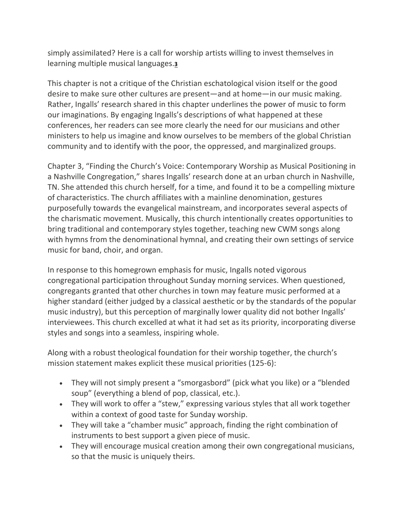simply assimilated? Here is a call for worship artists willing to invest themselves in learning multiple musical languages.**[3](https://inallthings.org/book-review-singing-the-congregation-how-contemporary-worship-music-forms-evangelical-community/#fn3-17646)**

This chapter is not a critique of the Christian eschatological vision itself or the good desire to make sure other cultures are present—and at home—in our music making. Rather, Ingalls' research shared in this chapter underlines the power of music to form our imaginations. By engaging Ingalls's descriptions of what happened at these conferences, her readers can see more clearly the need for our musicians and other ministers to help us imagine and know ourselves to be members of the global Christian community and to identify with the poor, the oppressed, and marginalized groups.

Chapter 3, "Finding the Church's Voice: Contemporary Worship as Musical Positioning in a Nashville Congregation," shares Ingalls' research done at an urban church in Nashville, TN. She attended this church herself, for a time, and found it to be a compelling mixture of characteristics. The church affiliates with a mainline denomination, gestures purposefully towards the evangelical mainstream, and incorporates several aspects of the charismatic movement. Musically, this church intentionally creates opportunities to bring traditional and contemporary styles together, teaching new CWM songs along with hymns from the denominational hymnal, and creating their own settings of service music for band, choir, and organ.

In response to this homegrown emphasis for music, Ingalls noted vigorous congregational participation throughout Sunday morning services. When questioned, congregants granted that other churches in town may feature music performed at a higher standard (either judged by a classical aesthetic or by the standards of the popular music industry), but this perception of marginally lower quality did not bother Ingalls' interviewees. This church excelled at what it had set as its priority, incorporating diverse styles and songs into a seamless, inspiring whole.

Along with a robust theological foundation for their worship together, the church's mission statement makes explicit these musical priorities (125-6):

- They will not simply present a "smorgasbord" (pick what you like) or a "blended soup" (everything a blend of pop, classical, etc.).
- They will work to offer a "stew," expressing various styles that all work together within a context of good taste for Sunday worship.
- They will take a "chamber music" approach, finding the right combination of instruments to best support a given piece of music.
- They will encourage musical creation among their own congregational musicians, so that the music is uniquely theirs.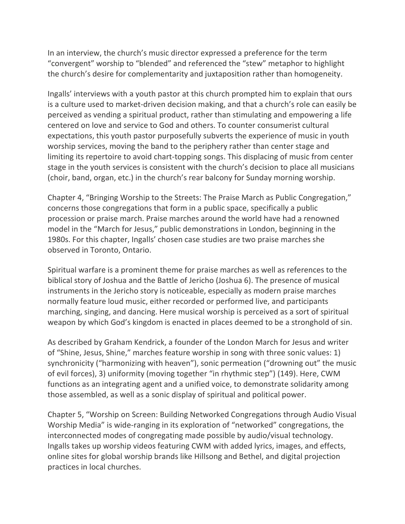In an interview, the church's music director expressed a preference for the term "convergent" worship to "blended" and referenced the "stew" metaphor to highlight the church's desire for complementarity and juxtaposition rather than homogeneity.

Ingalls' interviews with a youth pastor at this church prompted him to explain that ours is a culture used to market-driven decision making, and that a church's role can easily be perceived as vending a spiritual product, rather than stimulating and empowering a life centered on love and service to God and others. To counter consumerist cultural expectations, this youth pastor purposefully subverts the experience of music in youth worship services, moving the band to the periphery rather than center stage and limiting its repertoire to avoid chart-topping songs. This displacing of music from center stage in the youth services is consistent with the church's decision to place all musicians (choir, band, organ, etc.) in the church's rear balcony for Sunday morning worship.

Chapter 4, "Bringing Worship to the Streets: The Praise March as Public Congregation," concerns those congregations that form in a public space, specifically a public procession or praise march. Praise marches around the world have had a renowned model in the "March for Jesus," public demonstrations in London, beginning in the 1980s. For this chapter, Ingalls' chosen case studies are two praise marches she observed in Toronto, Ontario.

Spiritual warfare is a prominent theme for praise marches as well as references to the biblical story of Joshua and the Battle of Jericho (Joshua 6). The presence of musical instruments in the Jericho story is noticeable, especially as modern praise marches normally feature loud music, either recorded or performed live, and participants marching, singing, and dancing. Here musical worship is perceived as a sort of spiritual weapon by which God's kingdom is enacted in places deemed to be a stronghold of sin.

As described by Graham Kendrick, a founder of the London March for Jesus and writer of "Shine, Jesus, Shine," marches feature worship in song with three sonic values: 1) synchronicity ("harmonizing with heaven"), sonic permeation ("drowning out" the music of evil forces), 3) uniformity (moving together "in rhythmic step") (149). Here, CWM functions as an integrating agent and a unified voice, to demonstrate solidarity among those assembled, as well as a sonic display of spiritual and political power.

Chapter 5, "Worship on Screen: Building Networked Congregations through Audio Visual Worship Media" is wide-ranging in its exploration of "networked" congregations, the interconnected modes of congregating made possible by audio/visual technology. Ingalls takes up worship videos featuring CWM with added lyrics, images, and effects, online sites for global worship brands like Hillsong and Bethel, and digital projection practices in local churches.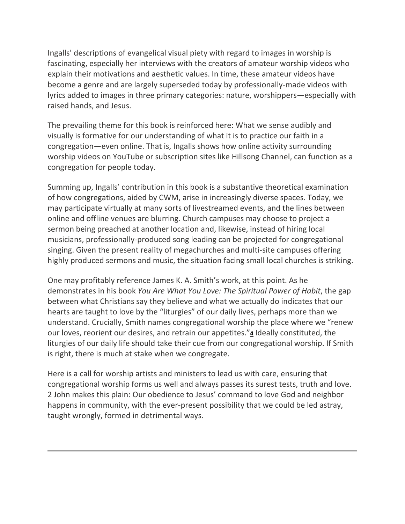Ingalls' descriptions of evangelical visual piety with regard to images in worship is fascinating, especially her interviews with the creators of amateur worship videos who explain their motivations and aesthetic values. In time, these amateur videos have become a genre and are largely superseded today by professionally-made videos with lyrics added to images in three primary categories: nature, worshippers—especially with raised hands, and Jesus.

The prevailing theme for this book is reinforced here: What we sense audibly and visually is formative for our understanding of what it is to practice our faith in a congregation—even online. That is, Ingalls shows how online activity surrounding worship videos on YouTube or subscription sites like Hillsong Channel, can function as a congregation for people today.

Summing up, Ingalls' contribution in this book is a substantive theoretical examination of how congregations, aided by CWM, arise in increasingly diverse spaces. Today, we may participate virtually at many sorts of livestreamed events, and the lines between online and offline venues are blurring. Church campuses may choose to project a sermon being preached at another location and, likewise, instead of hiring local musicians, professionally-produced song leading can be projected for congregational singing. Given the present reality of megachurches and multi-site campuses offering highly produced sermons and music, the situation facing small local churches is striking.

One may profitably reference James K. A. Smith's work, at this point. As he demonstrates in his book *You Are What You Love: The Spiritual Power of Habit*, the gap between what Christians say they believe and what we actually do indicates that our hearts are taught to love by the "liturgies" of our daily lives, perhaps more than we understand. Crucially, Smith names congregational worship the place where we "renew our loves, reorient our desires, and retrain our appetites."**[4](https://inallthings.org/book-review-singing-the-congregation-how-contemporary-worship-music-forms-evangelical-community/#fn4-17646)** Ideally constituted, the liturgies of our daily life should take their cue from our congregational worship. If Smith is right, there is much at stake when we congregate.

Here is a call for worship artists and ministers to lead us with care, ensuring that congregational worship forms us well and always passes its surest tests, truth and love. 2 John makes this plain: Our obedience to Jesus' command to love God and neighbor happens in community, with the ever-present possibility that we could be led astray, taught wrongly, formed in detrimental ways.